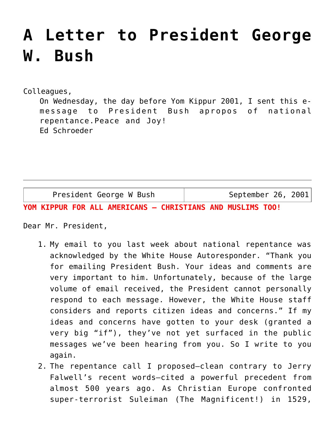## **[A Letter to President George](https://crossings.org/a-letter-to-president-george-w-bush/) [W. Bush](https://crossings.org/a-letter-to-president-george-w-bush/)**

Colleagues,

On Wednesday, the day before Yom Kippur 2001, I sent this emessage to President Bush apropos of national repentance.Peace and Joy! Ed Schroeder

President George W Bush | September 26, 2001

**YOM KIPPUR FOR ALL AMERICANS — CHRISTIANS AND MUSLIMS TOO!**

Dear Mr. President,

- 1. My email to you last week about national repentance was acknowledged by the White House Autoresponder. "Thank you for emailing President Bush. Your ideas and comments are very important to him. Unfortunately, because of the large volume of email received, the President cannot personally respond to each message. However, the White House staff considers and reports citizen ideas and concerns." If my ideas and concerns have gotten to your desk (granted a very big "if"), they've not yet surfaced in the public messages we've been hearing from you. So I write to you again.
- 2. The repentance call I proposed–clean contrary to Jerry Falwell's recent words–cited a powerful precedent from almost 500 years ago. As Christian Europe confronted super-terrorist Suleiman (The Magnificent!) in 1529,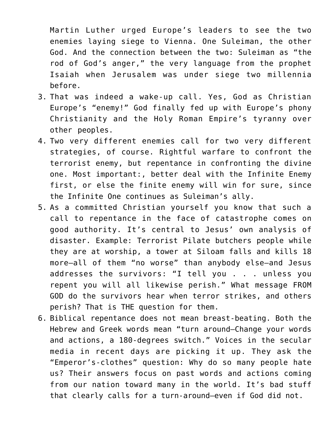Martin Luther urged Europe's leaders to see the two enemies laying siege to Vienna. One Suleiman, the other God. And the connection between the two: Suleiman as "the rod of God's anger," the very language from the prophet Isaiah when Jerusalem was under siege two millennia before.

- 3. That was indeed a wake-up call. Yes, God as Christian Europe's "enemy!" God finally fed up with Europe's phony Christianity and the Holy Roman Empire's tyranny over other peoples.
- 4. Two very different enemies call for two very different strategies, of course. Rightful warfare to confront the terrorist enemy, but repentance in confronting the divine one. Most important:, better deal with the Infinite Enemy first, or else the finite enemy will win for sure, since the Infinite One continues as Suleiman's ally.
- 5. As a committed Christian yourself you know that such a call to repentance in the face of catastrophe comes on good authority. It's central to Jesus' own analysis of disaster. Example: Terrorist Pilate butchers people while they are at worship, a tower at Siloam falls and kills 18 more–all of them "no worse" than anybody else–and Jesus addresses the survivors: "I tell you . . . unless you repent you will all likewise perish." What message FROM GOD do the survivors hear when terror strikes, and others perish? That is THE question for them.
- 6. Biblical repentance does not mean breast-beating. Both the Hebrew and Greek words mean "turn around–Change your words and actions, a 180-degrees switch." Voices in the secular media in recent days are picking it up. They ask the "Emperor's-clothes" question: Why do so many people hate us? Their answers focus on past words and actions coming from our nation toward many in the world. It's bad stuff that clearly calls for a turn-around–even if God did not.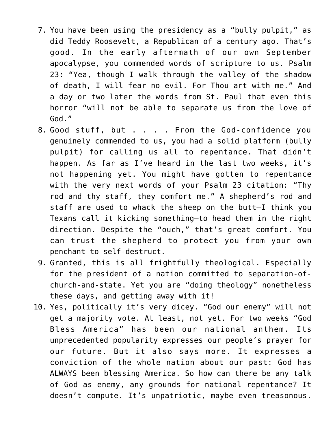- 7. You have been using the presidency as a "bully pulpit," as did Teddy Roosevelt, a Republican of a century ago. That's good. In the early aftermath of our own September apocalypse, you commended words of scripture to us. Psalm 23: "Yea, though I walk through the valley of the shadow of death, I will fear no evil. For Thou art with me." And a day or two later the words from St. Paul that even this horror "will not be able to separate us from the love of God."
- 8. Good stuff, but . . . . From the God-confidence you genuinely commended to us, you had a solid platform (bully pulpit) for calling us all to repentance. That didn't happen. As far as I've heard in the last two weeks, it's not happening yet. You might have gotten to repentance with the very next words of your Psalm 23 citation: "Thy rod and thy staff, they comfort me." A shepherd's rod and staff are used to whack the sheep on the butt–I think you Texans call it kicking something–to head them in the right direction. Despite the "ouch," that's great comfort. You can trust the shepherd to protect you from your own penchant to self-destruct.
- 9. Granted, this is all frightfully theological. Especially for the president of a nation committed to separation-ofchurch-and-state. Yet you are "doing theology" nonetheless these days, and getting away with it!
- 10. Yes, politically it's very dicey. "God our enemy" will not get a majority vote. At least, not yet. For two weeks "God Bless America" has been our national anthem. Its unprecedented popularity expresses our people's prayer for our future. But it also says more. It expresses a conviction of the whole nation about our past: God has ALWAYS been blessing America. So how can there be any talk of God as enemy, any grounds for national repentance? It doesn't compute. It's unpatriotic, maybe even treasonous.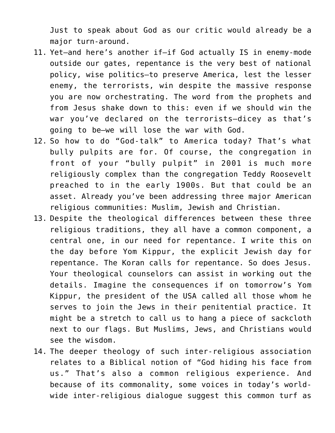Just to speak about God as our critic would already be a major turn-around.

- 11. Yet–and here's another if–if God actually IS in enemy-mode outside our gates, repentance is the very best of national policy, wise politics–to preserve America, lest the lesser enemy, the terrorists, win despite the massive response you are now orchestrating. The word from the prophets and from Jesus shake down to this: even if we should win the war you've declared on the terrorists–dicey as that's going to be–we will lose the war with God.
- 12. So how to do "God-talk" to America today? That's what bully pulpits are for. Of course, the congregation in front of your "bully pulpit" in 2001 is much more religiously complex than the congregation Teddy Roosevelt preached to in the early 1900s. But that could be an asset. Already you've been addressing three major American religious communities: Muslim, Jewish and Christian.
- 13. Despite the theological differences between these three religious traditions, they all have a common component, a central one, in our need for repentance. I write this on the day before Yom Kippur, the explicit Jewish day for repentance. The Koran calls for repentance. So does Jesus. Your theological counselors can assist in working out the details. Imagine the consequences if on tomorrow's Yom Kippur, the president of the USA called all those whom he serves to join the Jews in their penitential practice. It might be a stretch to call us to hang a piece of sackcloth next to our flags. But Muslims, Jews, and Christians would see the wisdom.
- 14. The deeper theology of such inter-religious association relates to a Biblical notion of "God hiding his face from us." That's also a common religious experience. And because of its commonality, some voices in today's worldwide inter-religious dialogue suggest this common turf as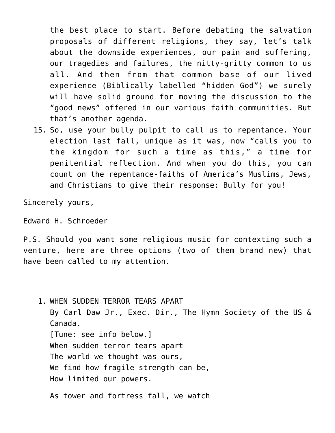the best place to start. Before debating the salvation proposals of different religions, they say, let's talk about the downside experiences, our pain and suffering, our tragedies and failures, the nitty-gritty common to us all. And then from that common base of our lived experience (Biblically labelled "hidden God") we surely will have solid ground for moving the discussion to the "good news" offered in our various faith communities. But that's another agenda.

15. So, use your bully pulpit to call us to repentance. Your election last fall, unique as it was, now "calls you to the kingdom for such a time as this," a time for penitential reflection. And when you do this, you can count on the repentance-faiths of America's Muslims, Jews, and Christians to give their response: Bully for you!

Sincerely yours,

Edward H. Schroeder

P.S. Should you want some religious music for contexting such a venture, here are three options (two of them brand new) that have been called to my attention.

1. WHEN SUDDEN TERROR TEARS APART By Carl Daw Jr., Exec. Dir., The Hymn Society of the US & Canada. [Tune: see info below.] When sudden terror tears apart The world we thought was ours, We find how fragile strength can be, How limited our powers. As tower and fortress fall, we watch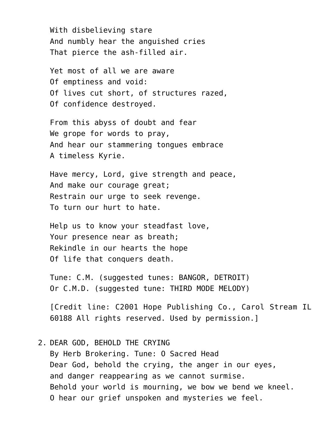With disbelieving stare And numbly hear the anguished cries That pierce the ash-filled air.

Yet most of all we are aware Of emptiness and void: Of lives cut short, of structures razed, Of confidence destroyed.

From this abyss of doubt and fear We grope for words to pray, And hear our stammering tongues embrace A timeless Kyrie.

Have mercy, Lord, give strength and peace, And make our courage great; Restrain our urge to seek revenge. To turn our hurt to hate.

Help us to know your steadfast love, Your presence near as breath; Rekindle in our hearts the hope Of life that conquers death.

Tune: C.M. (suggested tunes: BANGOR, DETROIT) Or C.M.D. (suggested tune: THIRD MODE MELODY)

[Credit line: C2001 Hope Publishing Co., Carol Stream IL 60188 All rights reserved. Used by permission.]

2. DEAR GOD, BEHOLD THE CRYING By Herb Brokering. Tune: O Sacred Head Dear God, behold the crying, the anger in our eyes, and danger reappearing as we cannot surmise. Behold your world is mourning, we bow we bend we kneel. O hear our grief unspoken and mysteries we feel.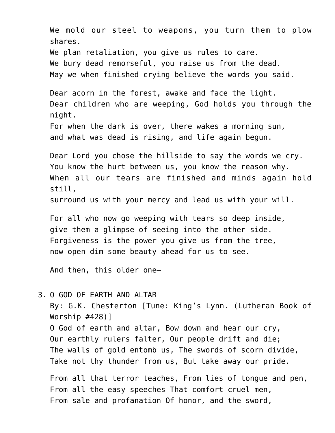We mold our steel to weapons, you turn them to plow shares. We plan retaliation, you give us rules to care. We bury dead remorseful, you raise us from the dead. May we when finished crying believe the words you said. Dear acorn in the forest, awake and face the light. Dear children who are weeping, God holds you through the night. For when the dark is over, there wakes a morning sun, and what was dead is rising, and life again begun. Dear Lord you chose the hillside to say the words we cry. You know the hurt between us, you know the reason why. When all our tears are finished and minds again hold still, surround us with your mercy and lead us with your will. For all who now go weeping with tears so deep inside, give them a glimpse of seeing into the other side. Forgiveness is the power you give us from the tree, now open dim some beauty ahead for us to see.

And then, this older one–

## 3. O GOD OF EARTH AND ALTAR

By: G.K. Chesterton [Tune: King's Lynn. (Lutheran Book of Worship #428)] O God of earth and altar, Bow down and hear our cry, Our earthly rulers falter, Our people drift and die; The walls of gold entomb us, The swords of scorn divide, Take not thy thunder from us, But take away our pride.

From all that terror teaches, From lies of tongue and pen, From all the easy speeches That comfort cruel men, From sale and profanation Of honor, and the sword,